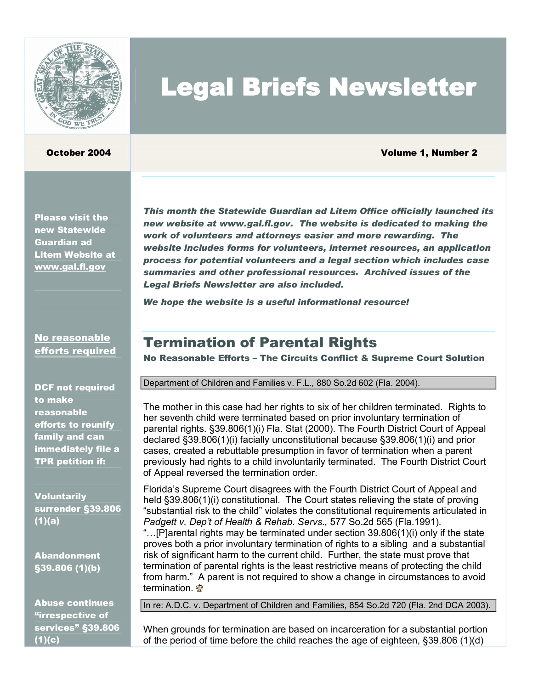

### October 2004 Volume 1, Number 2

Please visit the new Statewide Guardian ad Litem Website at www.gal.fl.gov

*This month the Statewide Guardian ad Litem Office officially launched its new website at www.gal.fl.gov. The website is dedicated to making the work of volunteers and attorneys easier and more rewarding. The website includes forms for volunteers, internet resources, an application process for potential volunteers and a legal section which includes case summaries and other professional resources. Archived issues of the Legal Briefs Newsletter are also included.* 

Legal Briefs Newsletter

*We hope the website is a useful informational resource!* 

### No reasonable efforts required

DCF not required to make reasonable efforts to reunify family and can immediately file a TPR petition if:

**Voluntarily** surrender §39.806 (1)(a)

Abandonment §39.806 (1)(b)

Abuse continues "irrespective of services" §39.806 (1)(c)

Termination of Parental Rights

No Reasonable Efforts – The Circuits Conflict & Supreme Court Solution

Department of Children and Families v. F.L., 880 So.2d 602 (Fla. 2004).

The mother in this case had her rights to six of her children terminated. Rights to her seventh child were terminated based on prior involuntary termination of parental rights. §39.806(1)(i) Fla. Stat (2000). The Fourth District Court of Appeal declared §39.806(1)(i) facially unconstitutional because §39.806(1)(i) and prior cases, created a rebuttable presumption in favor of termination when a parent previously had rights to a child involuntarily terminated. The Fourth District Court of Appeal reversed the termination order.

Florida's Supreme Court disagrees with the Fourth District Court of Appeal and held §39.806(1)(i) constitutional. The Court states relieving the state of proving "substantial risk to the child" violates the constitutional requirements articulated in *Padgett v. Dep't of Health & Rehab. Servs.,* 577 So.2d 565 (Fla.1991)*.* "…[P]arental rights may be terminated under section 39.806(1)(i) only if the state proves both a prior involuntary termination of rights to a sibling and a substantial risk of significant harm to the current child. Further, the state must prove that termination of parental rights is the least restrictive means of protecting the child from harm." A parent is not required to show a change in circumstances to avoid termination.

In re: A.D.C. v. Department of Children and Families, 854 So.2d 720 (Fla. 2nd DCA 2003).

When grounds for termination are based on incarceration for a substantial portion of the period of time before the child reaches the age of eighteen, §39.806 (1)(d)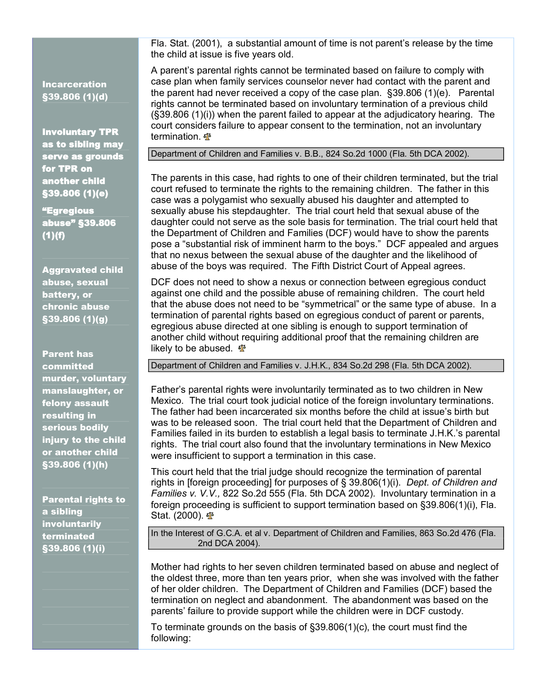Incarceration  $$39.806(1)(d)$ 

Involuntary TPR<br>as to sibling may<br>serve as grounds for TPR on another child §39.806 (1)(e)

<mark>"Egregious</mark><br>abuse" §39.806 (1)(f)

Aggravated child abuse, sexual battery, or chronic abuse §39.806 (1)(g)

Parent has committed murder, voluntary manslaughter, or felony assault resulting in serious bodily injury to the child or another child  $$39.806(1)$ (h)

**Parental rights to** a sibling involuntarily terminated §39.806 (1)(i)

Fla. Stat. (2001), a substantial amount of time is not parent's release by the time the child at issue is five years old.

A parent's parental rights cannot be terminated based on failure to comply with case plan when family services counselor never had contact with the parent and the parent had never received a copy of the case plan.  $\S 39.806$  (1)(e). Parental rights cannot be terminated based on involuntary termination of a previous child (§39.806 (1)(i)) when the parent failed to appear at the adjudicatory hearing. The court considers failure to appear consent to the termination, not an involuntary termination.

Department of Children and Families v. B.B., 824 So.2d 1000 (Fla. 5th DCA 2002).

The parents in this case, had rights to one of their children terminated, but the trial court refused to terminate the rights to the remaining children. The father in this case was a polygamist who sexually abused his daughter and attempted to sexually abuse his stepdaughter. The trial court held that sexual abuse of the daughter could not serve as the sole basis for termination. The trial court held that the Department of Children and Families (DCF) would have to show the parents pose a "substantial risk of imminent harm to the boys." DCF appealed and argues that no nexus between the sexual abuse of the daughter and the likelihood of abuse of the boys was required. The Fifth District Court of Appeal agrees.

DCF does not need to show a nexus or connection between egregious conduct against one child and the possible abuse of remaining children. The court held that the abuse does not need to be "symmetrical" or the same type of abuse. In a termination of parental rights based on egregious conduct of parent or parents, egregious abuse directed at one sibling is enough to support termination of another child without requiring additional proof that the remaining children are likely to be abused.  $\Phi$ 

Department of Children and Families v. J.H.K., 834 So.2d 298 (Fla. 5th DCA 2002).

Father's parental rights were involuntarily terminated as to two children in New Mexico. The trial court took judicial notice of the foreign involuntary terminations. The father had been incarcerated six months before the child at issue's birth but was to be released soon. The trial court held that the Department of Children and Families failed in its burden to establish a legal basis to terminate J.H.K.'s parental rights. The trial court also found that the involuntary terminations in New Mexico were insufficient to support a termination in this case.

This court held that the trial judge should recognize the termination of parental rights in [foreign proceeding] for purposes of § 39.806(1)(i). *Dept. of Children and Families v. V.V.,* 822 So.2d 555 (Fla. 5th DCA 2002). Involuntary termination in a foreign proceeding is sufficient to support termination based on §39.806(1)(i), Fla. Stat. (2000).  $\Phi$ 

In the Interest of G.C.A. et al v. Department of Children and Families, 863 So.2d 476 (Fla. 2nd DCA 2004).

Mother had rights to her seven children terminated based on abuse and neglect of the oldest three, more than ten years prior, when she was involved with the father of her older children. The Department of Children and Families (DCF) based the termination on neglect and abandonment. The abandonment was based on the parents' failure to provide support while the children were in DCF custody.

To terminate grounds on the basis of §39.806(1)(c), the court must find the following: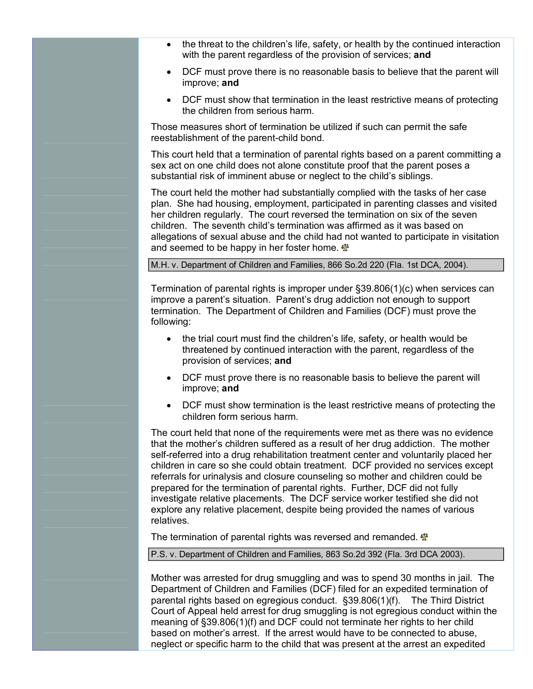- · the threat to the children's life, safety, or health by the continued interaction with the parent regardless of the provision of services; **and**
- · DCF must prove there is no reasonable basis to believe that the parent will improve; **and**
- · DCF must show that termination in the least restrictive means of protecting the children from serious harm.

Those measures short of termination be utilized if such can permit the safe reestablishment of the parent-child bond.

This court held that a termination of parental rights based on a parent committing a sex act on one child does not alone constitute proof that the parent poses a substantial risk of imminent abuse or neglect to the child's siblings.

The court held the mother had substantially complied with the tasks of her case plan. She had housing, employment, participated in parenting classes and visited her children regularly. The court reversed the termination on six of the seven children. The seventh child's termination was affirmed as it was based on allegations of sexual abuse and the child had not wanted to participate in visitation and seemed to be happy in her foster home.

### M.H. v. Department of Children and Families, 866 So.2d 220 (Fla. 1st DCA, 2004).

Termination of parental rights is improper under §39.806(1)(c) when services can improve a parent's situation. Parent's drug addiction not enough to support termination. The Department of Children and Families (DCF) must prove the following:

- the trial court must find the children's life, safety, or health would be threatened by continued interaction with the parent, regardless of the provision of services; **and**
- · DCF must prove there is no reasonable basis to believe the parent will improve; **and**
- · DCF must show termination is the least restrictive means of protecting the children form serious harm.

The court held that none of the requirements were met as there was no evidence that the mother's children suffered as a result of her drug addiction. The mother self-referred into a drug rehabilitation treatment center and voluntarily placed her children in care so she could obtain treatment. DCF provided no services except referrals for urinalysis and closure counseling so mother and children could be prepared for the termination of parental rights. Further, DCF did not fully investigate relative placements. The DCF service worker testified she did not explore any relative placement, despite being provided the names of various relatives.

The termination of parental rights was reversed and remanded.  $\mathbf{\Phi}$ 

P.S. v. Department of Children and Families, 863 So.2d 392 (Fla. 3rd DCA 2003).

Mother was arrested for drug smuggling and was to spend 30 months in jail. The Department of Children and Families (DCF) filed for an expedited termination of parental rights based on egregious conduct. §39.806(1)(f). The Third District Court of Appeal held arrest for drug smuggling is not egregious conduct within the meaning of §39.806(1)(f) and DCF could not terminate her rights to her child based on mother's arrest. If the arrest would have to be connected to abuse, neglect or specific harm to the child that was present at the arrest an expedited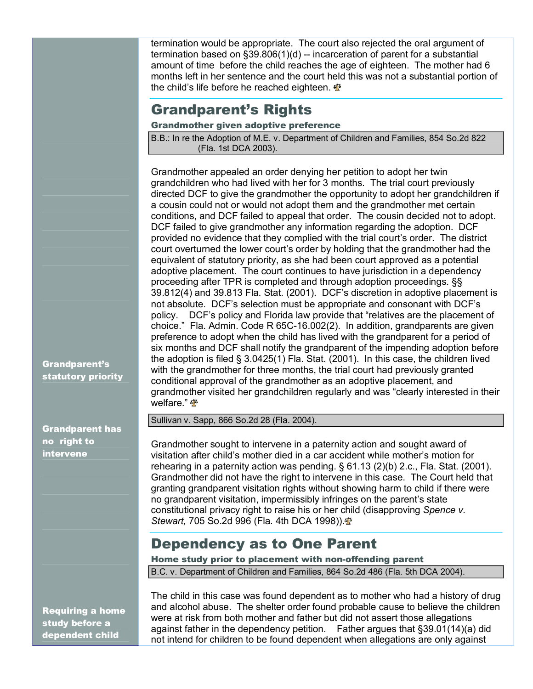termination would be appropriate. The court also rejected the oral argument of termination based on  $\S39.806(1)(d)$  -- incarceration of parent for a substantial amount of time before the child reaches the age of eighteen. The mother had 6 months left in her sentence and the court held this was not a substantial portion of the child's life before he reached eighteen.  $\Phi$ 

# Grandparent's Rights

### Grandmother given adoptive preference

B.B.: In re the Adoption of M.E. v. Department of Children and Families, 854 So.2d 822 (Fla. 1st DCA 2003).

Grandmother appealed an order denying her petition to adopt her twin grandchildren who had lived with her for 3 months. The trial court previously directed DCF to give the grandmother the opportunity to adopt her grandchildren if a cousin could not or would not adopt them and the grandmother met certain conditions, and DCF failed to appeal that order. The cousin decided not to adopt. DCF failed to give grandmother any information regarding the adoption. DCF provided no evidence that they complied with the trial court's order. The district court overturned the lower court's order by holding that the grandmother had the equivalent of statutory priority, as she had been court approved as a potential adoptive placement. The court continues to have jurisdiction in a dependency proceeding after TPR is completed and through adoption proceedings. §§ 39.812(4) and 39.813 Fla. Stat. (2001). DCF's discretion in adoptive placement is not absolute. DCF's selection must be appropriate and consonant with DCF's policy. DCF's policy and Florida law provide that "relatives are the placement of choice." Fla. Admin. Code R  $65C-16.002(2)$ . In addition, grandparents are given preference to adopt when the child has lived with the grandparent for a period of six months and DCF shall notify the grandparent of the impending adoption before the adoption is filed § 3.0425(1) Fla. Stat. (2001). In this case, the children lived with the grandmother for three months, the trial court had previously granted conditional approval of the grandmother as an adoptive placement, and grandmother visited her grandchildren regularly and was "clearly interested in their welfare." <sub><6</sub>

Sullivan v. Sapp, 866 So.2d 28 (Fla. 2004).

Grandmother sought to intervene in a paternity action and sought award of visitation after child's mother died in a car accident while mother's motion for rehearing in a paternity action was pending. § 61.13 (2)(b) 2.c., Fla. Stat. (2001). Grandmother did not have the right to intervene in this case. The Court held that granting grandparent visitation rights without showing harm to child if there were no grandparent visitation, impermissibly infringes on the parent's state constitutional privacy right to raise his or her child (disapproving *Spence v. Stewart,* 705 So.2d 996 (Fla. 4th DCA 1998)).

## Dependency as to One Parent

Home study prior to placement with non-offending parent B.C. v. Department of Children and Families, 864 So.2d 486 (Fla. 5th DCA 2004).

Requiring a home study before a dependent child

The child in this case was found dependent as to mother who had a history of drug and alcohol abuse. The shelter order found probable cause to believe the children were at risk from both mother and father but did not assert those allegations against father in the dependency petition. Father argues that §39.01(14)(a) did not intend for children to be found dependent when allegations are only against

Grandparent has

Grandparent's statutory priority

no right to intervene